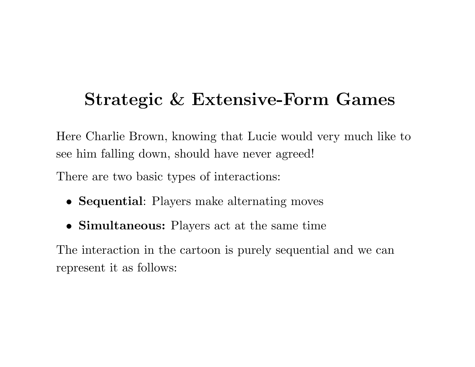# **Strategic & Extensive-Form Games**

Here Charlie Brown, knowing that Lucie would very much like to see him falling down, should have never agreed! There are two basic types of interactions:

- *•* **Sequential**: Players make alternating moves
- *•* **Simultaneous:** Players act at the same time

The interaction in the cartoon is purely sequential and we can represent it as follows: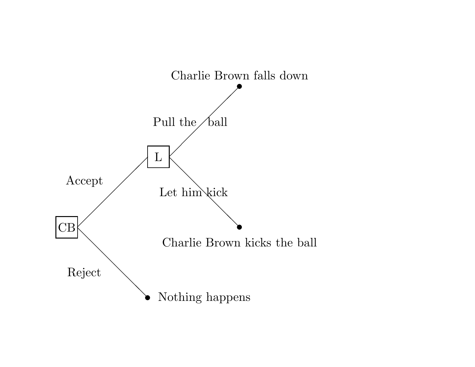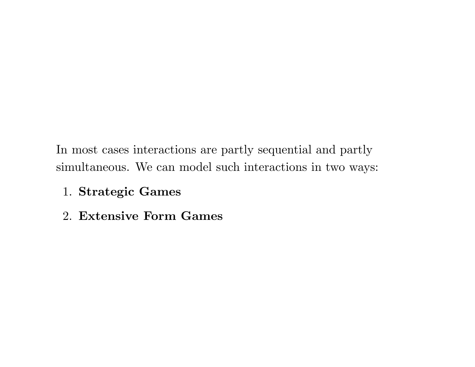In most cases interactions are partly sequential and partly simultaneous. We can model such interactions in two ways:

- 1. **Strategic Games**
- 2. **Extensive Form Games**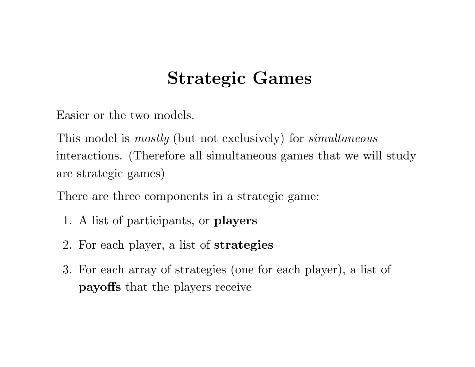# **Strategic Games**

Easier or the two models.

This model is *mostly* (but not exclusively) for *simultaneous* interactions. (Therefore all simultaneous games that we will study are strategic games)

There are three components in <sup>a</sup> strategic game:

- 1. A list of participants, or **players**
- 2. For each <sup>p</sup>layer, <sup>a</sup> list of **strategies**
- 3. For each array of strategies (one for each <sup>p</sup>layer), <sup>a</sup> list of **payoffs** that the players receive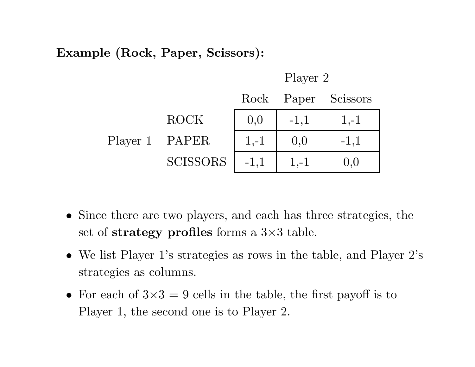#### **Example (Rock, Paper, Scissors):**

Player 2

|                |                 |         |         | Rock Paper Scissors |
|----------------|-----------------|---------|---------|---------------------|
| Player 1 PAPER | <b>ROCK</b>     | 0,0     | $-1,1$  | $1,-1$              |
|                |                 | $1, -1$ | 0,0     | $-1,1$              |
|                | <b>SCISSORS</b> | $-1,1$  | $1 - 1$ |                     |

- *•* Since there are two <sup>p</sup>layers, and each has three strategies, the set of **strategy profiles** forms <sup>a</sup> 3 *<sup>×</sup>*3 table.
- *•* We list Player 1's strategies as rows in the table, and Player 2's strategies as columns.
- For each of  $3\times3=9$  cells in the table, the first payoff is to Player 1, the second one is to Player 2.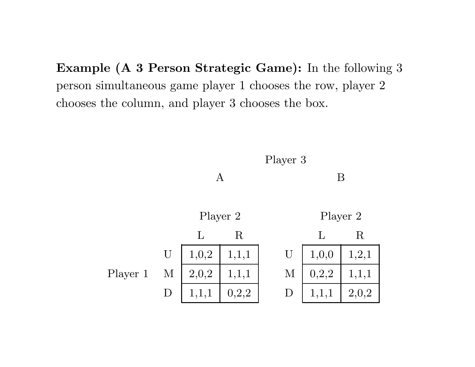**Example (A <sup>3</sup> Person Strategic Game):** In the following <sup>3</sup> person simultaneous game player 1 chooses the row, player 2 chooses the column, and player 3 chooses the box.

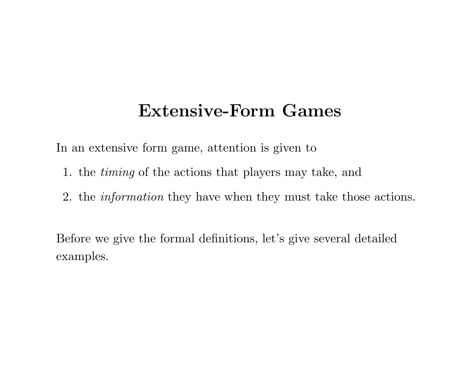## **Extensive-Form Games**

In an extensive form game, attention is given to

- 1. the *timing* of the actions that <sup>p</sup>layers may take, and
- 2. the *information* they have when they must take those actions.

Before we give the formal definitions, let's give several detailed examples.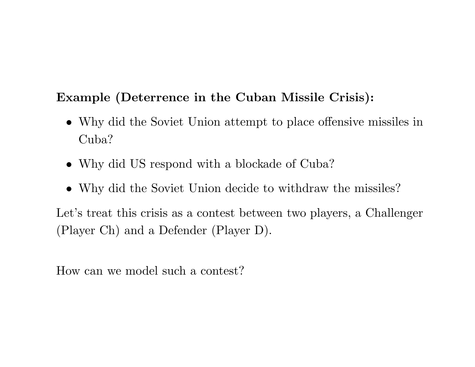### **Example (Deterrence in the Cuban Missile Crisis):**

- *•* Why did the Soviet Union attempt to <sup>p</sup>lace offensive missiles in Cuba?
- Why did US respond with a blockade of Cuba?
- Why did the Soviet Union decide to withdraw the missiles?

Let's treat this crisis as a contest between two players, a Challenger (Player Ch) and <sup>a</sup> Defender (Player D).

How can we model such <sup>a</sup> contest?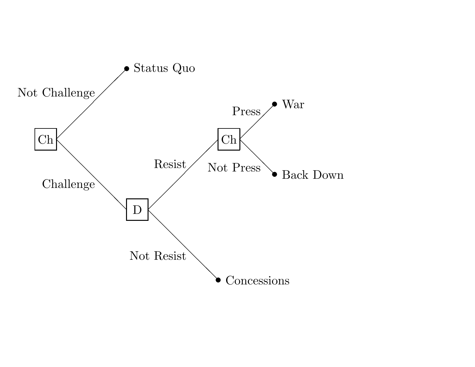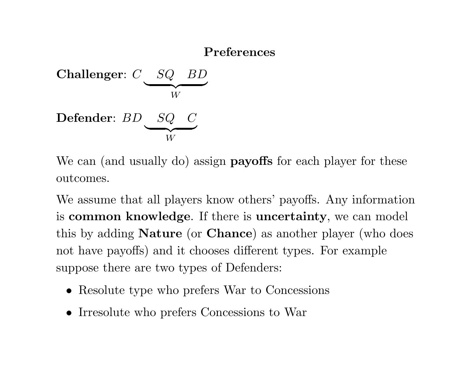

We can (and usually do) assign **payoffs** for each <sup>p</sup>layer for these outcomes.

We assume that all <sup>p</sup>layers know others' payoffs. Any information is **common knowledge**. If there is **uncertainty**, we can model this by adding **Nature** (or **Chance**) as another <sup>p</sup>layer (who does not have payoffs) and it chooses different types. For example suppose there are two types of Defenders:

- Resolute type who prefers War to Concessions
- *•* Irresolute who prefers Concessions to War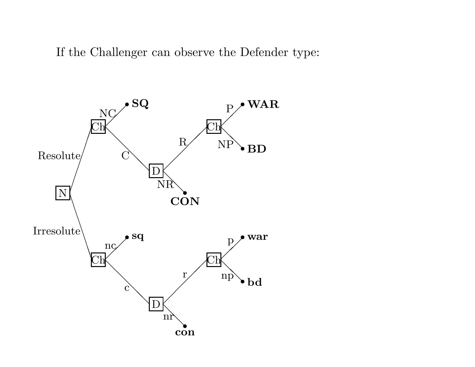If the Challenger can observe the Defender type:

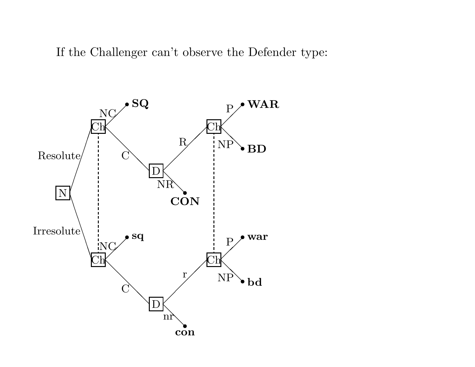If the Challenger can't observe the Defender type:

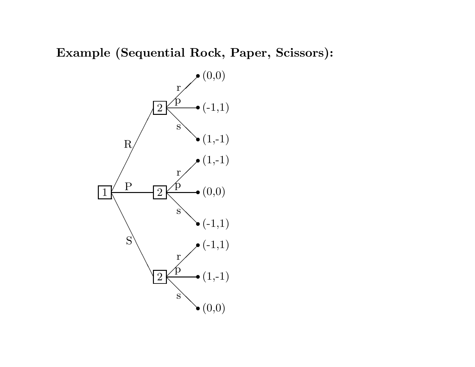### **Example (Sequential Rock, Paper, Scissors):**

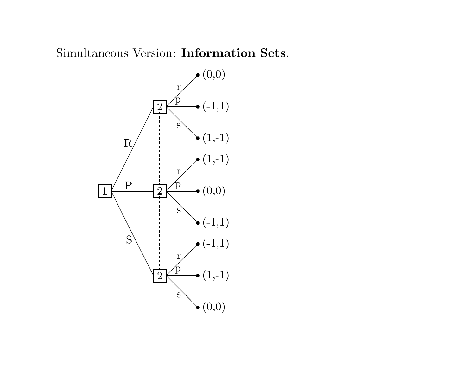Simultaneous Version: **Information Sets**.

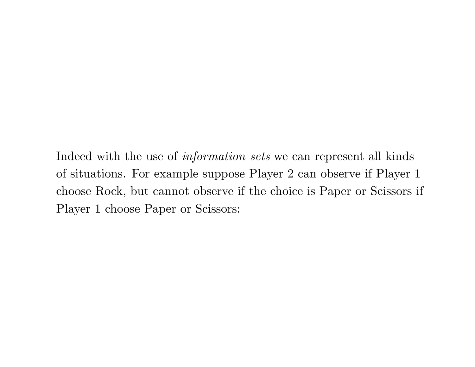Indeed with the use of *information sets* we can represent all kinds of situations. For example suppose Player 2 can observe if Player 1 choose Rock, but cannot observe if the choice is Paper or Scissors if Player 1 choose Paper or Scissors: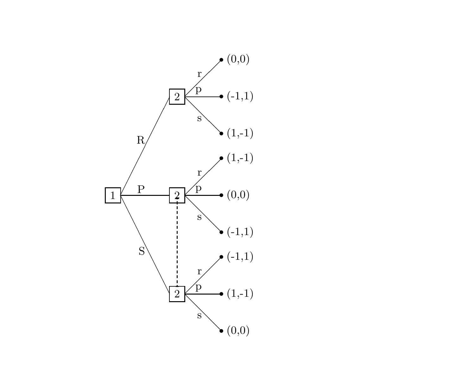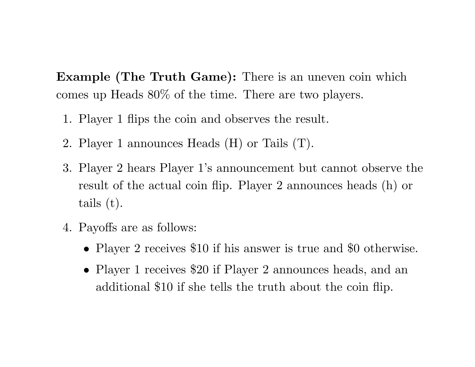**Example (The Truth Game):** There is an uneven coin which comes up Heads 80% of the time. There are two <sup>p</sup>layers.

- 1. Player 1 flips the coin and observes the result.
- 2. Player <sup>1</sup> announces Heads (H) or Tails (T).
- 3. Player 2 hears Player 1's announcement but cannot observe the result of the actual coin flip. Player <sup>2</sup> announces heads (h) or tails (t).
- 4. Payoffs are as follows:
	- *•* Player <sup>2</sup> receives \$10 if his answer is true and \$0 otherwise.
	- *•* Player <sup>1</sup> receives \$20 if Player <sup>2</sup> announces heads, and an additional \$10 if she tells the truth about the coin flip.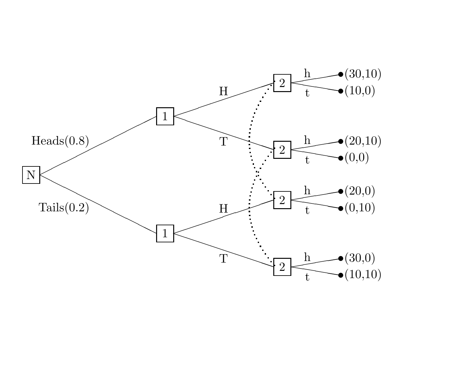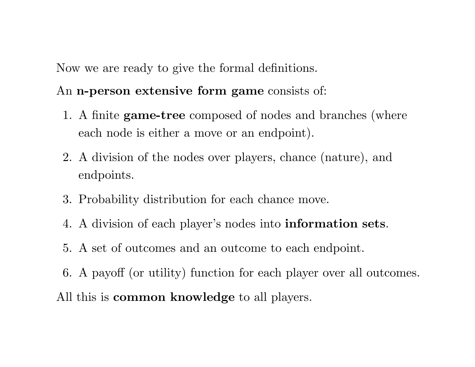Now we are ready to give the formal definitions.

An **n-person extensive form game** consists of:

- 1. A finite **game-tree** composed of nodes and branches (where each node is either <sup>a</sup> move or an endpoint).
- 2. A division of the nodes over <sup>p</sup>layers, chance (nature), and endpoints.
- 3. Probability distribution for each chance move.
- 4. A division of each <sup>p</sup>layer's nodes into **information sets**.
- 5. A set of outcomes and an outcome to each endpoint.
- 6. A payoff (or utility) function for each <sup>p</sup>layer over all outcomes. All this is **common knowledge** to all <sup>p</sup>layers.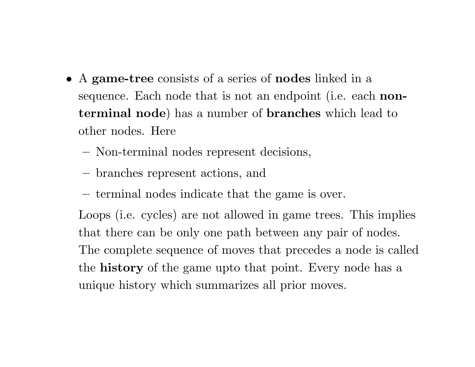- *•* A **game-tree** consists of <sup>a</sup> series of **nodes** linked in <sup>a</sup> sequence. Each node that is not an endpoint (i.e. each **nonterminal node**) has <sup>a</sup> number of **branches** which lead to other nodes. Here
	- **–**Non-terminal nodes represent decisions,
	- **–**branches represent actions, and
	- terminal nodes indicate that the game is over.

Loops (i.e. cycles) are not allowed in game trees. This implies that there can be only one path between any pair of nodes. The complete sequence of moves that precedes <sup>a</sup> node is called the **history** of the game upto that point. Every node has <sup>a</sup> unique history which summarizes all prior moves.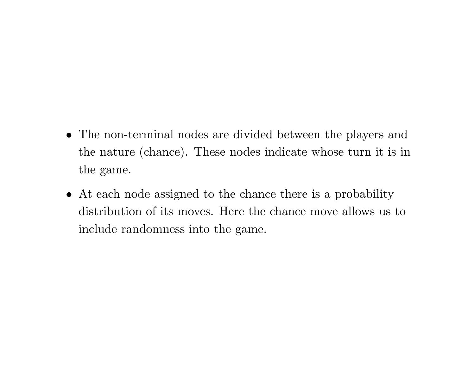- *•* The non-terminal nodes are divided between the players and the nature (chance). These nodes indicate whose turn it is in the game.
- At each node assigned to the chance there is a probability distribution of its moves. Here the chance move allows us to include randomness into the game.